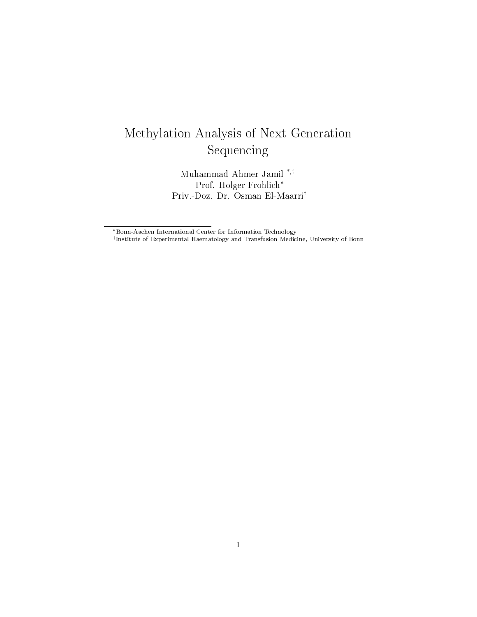# Methylation Analysis of Next Generation Sequencing

Muhammad Ahmer Jamil \*, Prof. Holger Frohlich\* Priv.-Doz. Dr. Osman El-Maarri

 $^\dagger$ Institute of Experimental Haematology and Transfusion Medicine, University of Bonn

<sup>\*</sup>Bonn-Aachen International Center for Information Technology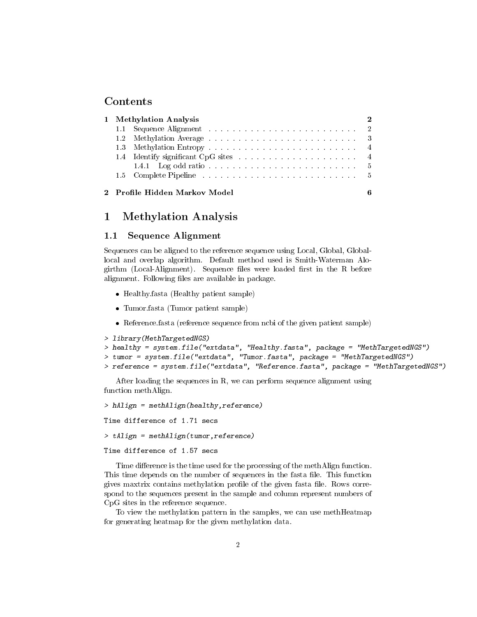### Contents

|  | 1 Methylation Analysis          |  |  |
|--|---------------------------------|--|--|
|  |                                 |  |  |
|  | 1.2                             |  |  |
|  |                                 |  |  |
|  |                                 |  |  |
|  |                                 |  |  |
|  |                                 |  |  |
|  | 2 - Profile Hidden Markov Model |  |  |
|  |                                 |  |  |

## 1 Methylation Analysis

## 1.1 Sequence Alignment

Sequences can be aligned to the reference sequence using Local, Global, Globallocal and overlap algorithm. Default method used is Smith-Waterman Alogirthm (Local-Alignment). Sequence files were loaded first in the R before alignment. Following files are available in package.

- Healthy.fasta (Healthy patient sample)
- Tumor.fasta (Tumor patient sample)
- Reference.fasta (reference sequence from ncbi of the given patient sample)

```
> library(MethTargetedNGS)
```

```
> healthy = system.file("extdata", "Healthy.fasta", package = "MethTargetedNGS")
> tumor = system.file("extdata", "Tumor.fasta", package = "MethTargetedNGS")
> reference = system.file("extdata", "Reference.fasta", package = "MethTargetedNGS")
```
After loading the sequences in R, we can perform sequence alignment using function methAlign.

```
> hAlign = methAlign(healthy,reference)
```
Time difference of 1.71 secs

```
> tAlign = methAlign(tumor,reference)
```
Time difference of 1.57 secs

Time difference is the time used for the processing of the methAlign function. This time depends on the number of sequences in the fasta file. This function gives maxtrix contains methylation profile of the given fasta file. Rows correspond to the sequences present in the sample and column represent numbers of CpG sites in the reference sequence.

To view the methylation pattern in the samples, we can use methHeatmap for generating heatmap for the given methylation data.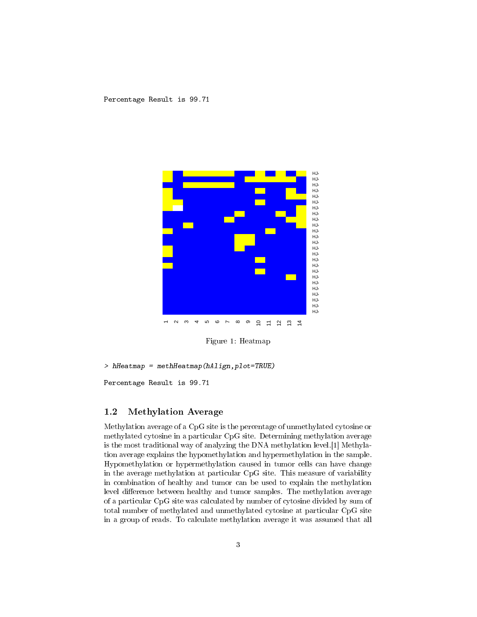

Figure 1: Heatmap

> hHeatmap = methHeatmap(hAlign,plot=TRUE)

Percentage Result is 99.71

#### 1.2 Methylation Average

Methylation average of a CpG site is the percentage of unmethylated cytosine or methylated cytosine in a particular CpG site. Determining methylation average is the most traditional way of analyzing the DNA methylation level.[1] Methylation average explains the hypomethylation and hypermethylation in the sample. Hypomethylation or hypermethylation caused in tumor cells can have change in the average methylation at particular CpG site. This measure of variability in combination of healthy and tumor can be used to explain the methylation level difference between healthy and tumor samples. The methylation average of a particular CpG site was calculated by number of cytosine divided by sum of total number of methylated and unmethylated cytosine at particular CpG site in a group of reads. To calculate methylation average it was assumed that all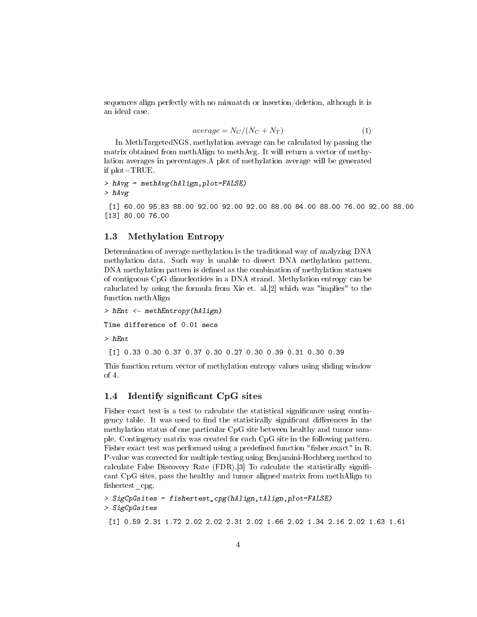sequences align perfectly with no mismatch or insertion/deletion, although it is an ideal case.

$$
average = N_C/(N_C + N_T) \tag{1}
$$

In MethTargetedNGS, methylation average can be calculated by passing the matrix obtained from methAlign to methAvg. It will return a vector of methylation averages in percentages.A plot of methylation average will be generated if plot=TRUE.

```
> hAvg = methAvg(hAlign,plot=FALSE)
> hAvg
```
[1] 60.00 95.83 88.00 92.00 92.00 92.00 88.00 84.00 88.00 76.00 92.00 88.00 [13] 80.00 76.00

#### 1.3 Methylation Entropy

Determination of average methylation is the traditional way of analyzing DNA methylation data. Such way is unable to dissect DNA methylation pattern. DNA methylation pattern is defined as the combination of methylation statuses of contiguous CpG dinucleotides in a DNA strand. Methylation entropy can be caluclated by using the formula from Xie et. al.[2] which was "implies" to the function methAlign

> hEnt <- methEntropy(hAlign) Time difference of 0.01 secs > hEnt

[1] 0.33 0.30 0.37 0.37 0.30 0.27 0.30 0.39 0.31 0.30 0.39

This function return vector of methylation entropy values using sliding window of 4.

#### 1.4 Identify significant CpG sites

Fisher exact test is a test to calculate the statistical significance using contingency table. It was used to find the statistically significant differences in the methylation status of one particular CpG site between healthy and tumor sample. Contingency matrix was created for each CpG site in the following pattern. Fisher exact test was performed using a predefined function "fisher.exact" in R. P-value was corrected for multiple testing using Benjamini-Hochberg method to calculate False Discovery Rate (FDR).[3] To calculate the statistically signi cant CpG sites, pass the healthy and tumor aligned matrix from methAlign to fishertest cpg.

```
> SigCpGsites = fishertest_cpg(hAlign,tAlign,plot=FALSE)
> SigCpGsites
```

```
[1] 0.59 2.31 1.72 2.02 2.02 2.31 2.02 1.66 2.02 1.34 2.16 2.02 1.63 1.61
```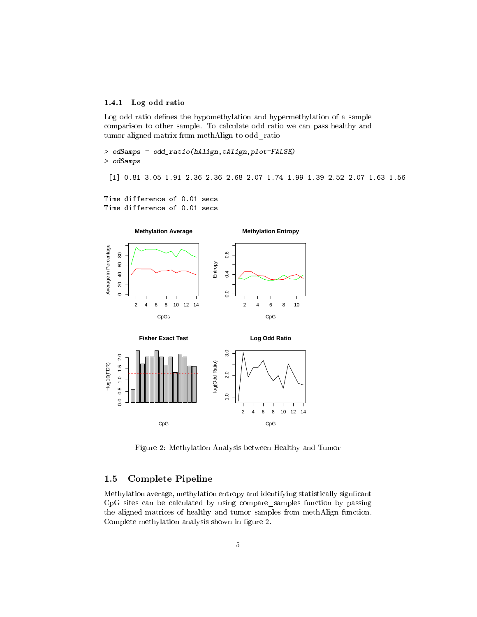#### 1.4.1 Log odd ratio

Log odd ratio defines the hypomethylation and hypermethylation of a sample comparison to other sample. To calculate odd ratio we can pass healthy and tumor aligned matrix from methAlign to odd\_ratio

> odSamps = odd\_ratio(hAlign,tAlign,plot=FALSE) > odSamps

[1] 0.81 3.05 1.91 2.36 2.36 2.68 2.07 1.74 1.99 1.39 2.52 2.07 1.63 1.56

Time difference of 0.01 secs Time difference of 0.01 secs



Figure 2: Methylation Analysis between Healthy and Tumor

#### 1.5 Complete Pipeline

Methylation average, methylation entropy and identifying statistically signficant CpG sites can be calculated by using compare\_samples function by passing the aligned matrices of healthy and tumor samples from methAlign function. Complete methylation analysis shown in figure 2.